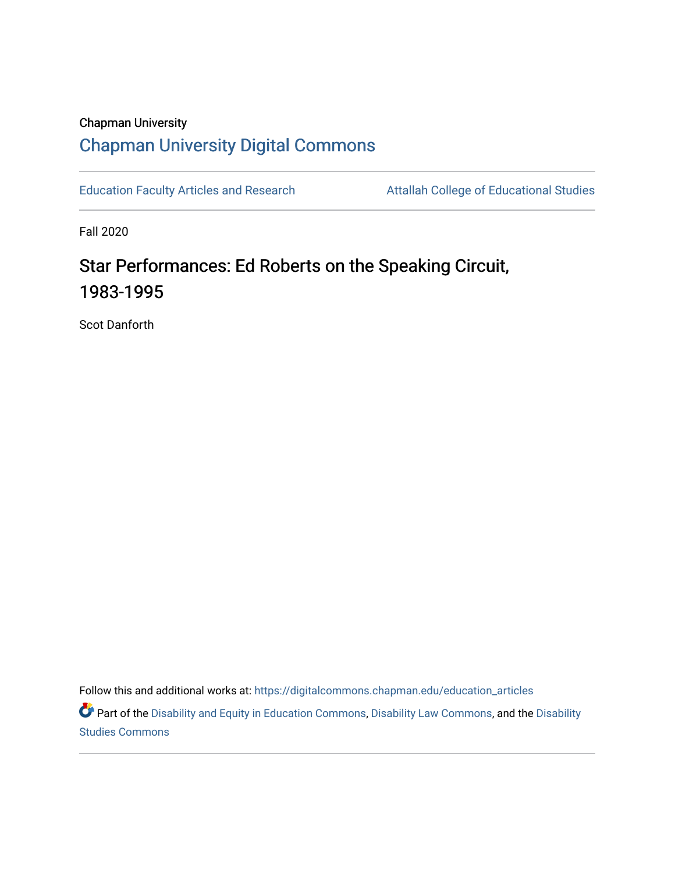## Chapman University [Chapman University Digital Commons](https://digitalcommons.chapman.edu/)

[Education Faculty Articles and Research](https://digitalcommons.chapman.edu/education_articles) Attallah College of Educational Studies

Fall 2020

# Star Performances: Ed Roberts on the Speaking Circuit, 1983-1995

Scot Danforth

Follow this and additional works at: [https://digitalcommons.chapman.edu/education\\_articles](https://digitalcommons.chapman.edu/education_articles?utm_source=digitalcommons.chapman.edu%2Feducation_articles%2F275&utm_medium=PDF&utm_campaign=PDFCoverPages)

Part of the [Disability and Equity in Education Commons](http://network.bepress.com/hgg/discipline/1040?utm_source=digitalcommons.chapman.edu%2Feducation_articles%2F275&utm_medium=PDF&utm_campaign=PDFCoverPages), [Disability Law Commons,](http://network.bepress.com/hgg/discipline/1074?utm_source=digitalcommons.chapman.edu%2Feducation_articles%2F275&utm_medium=PDF&utm_campaign=PDFCoverPages) and the [Disability](http://network.bepress.com/hgg/discipline/1417?utm_source=digitalcommons.chapman.edu%2Feducation_articles%2F275&utm_medium=PDF&utm_campaign=PDFCoverPages) [Studies Commons](http://network.bepress.com/hgg/discipline/1417?utm_source=digitalcommons.chapman.edu%2Feducation_articles%2F275&utm_medium=PDF&utm_campaign=PDFCoverPages)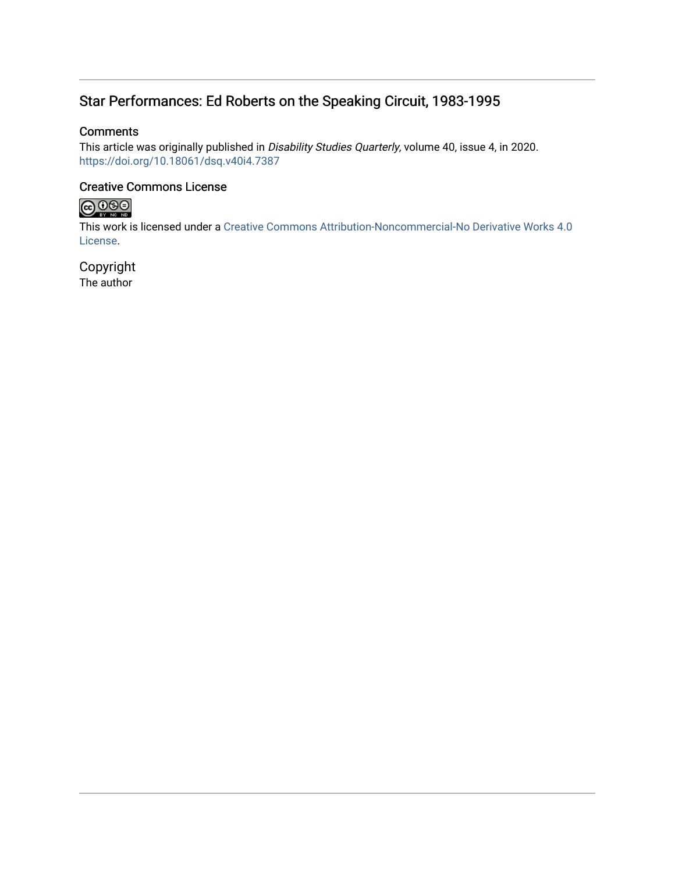## Star Performances: Ed Roberts on the Speaking Circuit, 1983-1995

#### **Comments**

This article was originally published in Disability Studies Quarterly, volume 40, issue 4, in 2020. <https://doi.org/10.18061/dsq.v40i4.7387>

#### Creative Commons License



This work is licensed under a [Creative Commons Attribution-Noncommercial-No Derivative Works 4.0](https://creativecommons.org/licenses/by-nc-nd/4.0/) [License](https://creativecommons.org/licenses/by-nc-nd/4.0/).

Copyright The author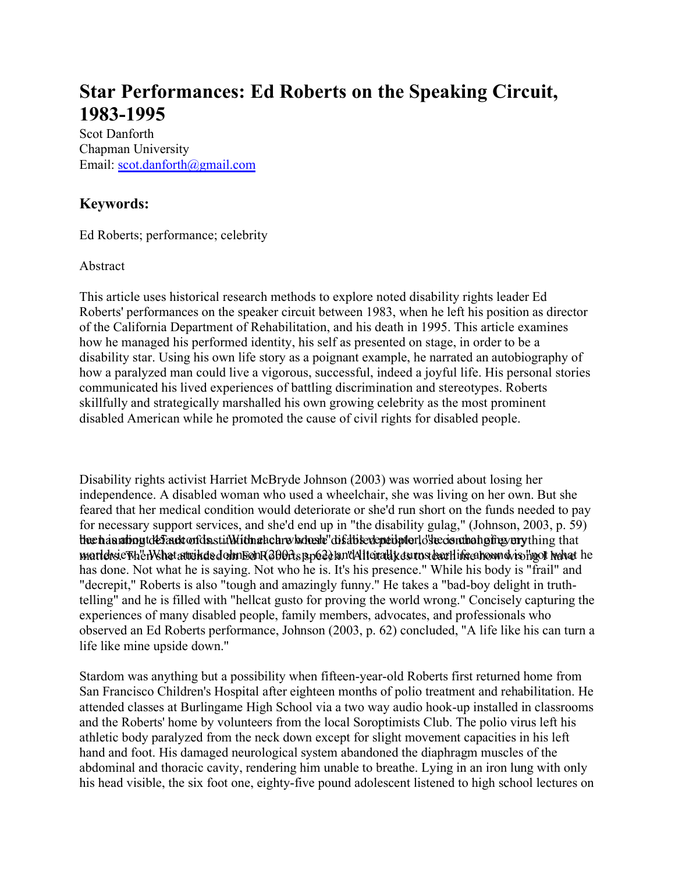# **Star Performances: Ed Roberts on the Speaking Circuit, 1983-1995**

Scot Danforth [Chapman University](mailto:scot.danforth@gmail.com)  Email: scot.danforth@gmail.com

## **Keywords:**

Ed Roberts; performance; celebrity

#### Abstract

This article uses historical research methods to explore noted disability rights leader Ed Roberts' performances on the speaker circuit between 1983, when he left his position as director of the California Department of Rehabilitation, and his death in 1995. This article examines how he managed his performed identity, his self as presented on stage, in order to be a disability star. Using his own life story as a poignant example, he narrated an autobiography of how a paralyzed man could live a vigorous, successful, indeed a joyful life. His personal stories communicated his lived experiences of battling discrimination and stereotypes. Roberts skillfully and strategically marshalled his own growing celebrity as the most prominent disabled American while he promoted the cause of civil rights for disabled people.

Disability rights activist Harriet McBryde Johnson (2003) was worried about losing her independence. A disabled woman who used a wheelchair, she was living on her own. But she feared that her medical condition would deteriorate or she'd run short on the funds needed to pay for necessary support services, and she'd end up in "the disability gulag," (Johnson, 2003, p. 59) the haunting tdefault ortdn stid Mith under whole he'd is dised published on the institution of that martehsicTh1'ctNShatatteikd&dohn50hR300Asj3p620ja.nt4AlteiraldjxdsurpstbarHificatrowndviso'hgolt hahat he has done. Not what he is saying. Not who he is. It's his presence." While his body is "frail" and "decrepit," Roberts is also "tough and amazingly funny." He takes a "bad-boy delight in truthtelling" and he is filled with "hellcat gusto for proving the world wrong." Concisely capturing the experiences of many disabled people, family members, advocates, and professionals who observed an Ed Roberts performance, Johnson (2003, p. 62) concluded, "A life like his can turn a life like mine upside down."

Stardom was anything but a possibility when fifteen-year-old Roberts first returned home from San Francisco Children's Hospital after eighteen months of polio treatment and rehabilitation. He attended classes at Burlingame High School via a two way audio hook-up installed in classrooms and the Roberts' home by volunteers from the local Soroptimists Club. The polio virus left his athletic body paralyzed from the neck down except for slight movement capacities in his left hand and foot. His damaged neurological system abandoned the diaphragm muscles of the abdominal and thoracic cavity, rendering him unable to breathe. Lying in an iron lung with only his head visible, the six foot one, eighty-five pound adolescent listened to high school lectures on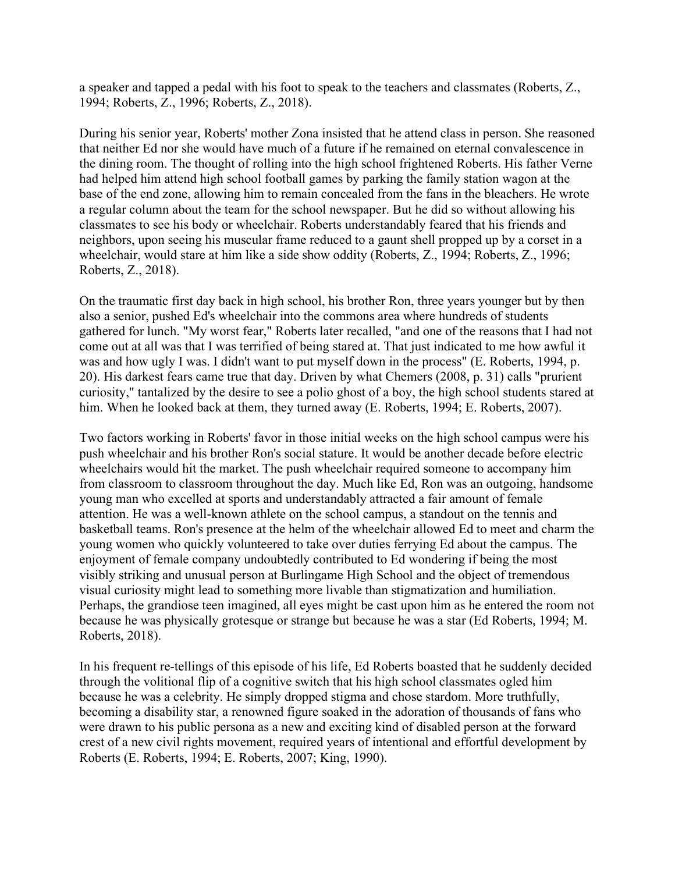a speaker and tapped a pedal with his foot to speak to the teachers and classmates (Roberts, Z., 1994; Roberts, Z., 1996; Roberts, Z., 2018).

During his senior year, Roberts' mother Zona insisted that he attend class in person. She reasoned that neither Ed nor she would have much of a future if he remained on eternal convalescence in the dining room. The thought of rolling into the high school frightened Roberts. His father Verne had helped him attend high school football games by parking the family station wagon at the base of the end zone, allowing him to remain concealed from the fans in the bleachers. He wrote a regular column about the team for the school newspaper. But he did so without allowing his classmates to see his body or wheelchair. Roberts understandably feared that his friends and neighbors, upon seeing his muscular frame reduced to a gaunt shell propped up by a corset in a wheelchair, would stare at him like a side show oddity (Roberts, Z., 1994; Roberts, Z., 1996; Roberts, Z., 2018).

On the traumatic first day back in high school, his brother Ron, three years younger but by then also a senior, pushed Ed's wheelchair into the commons area where hundreds of students gathered for lunch. "My worst fear," Roberts later recalled, "and one of the reasons that I had not come out at all was that I was terrified of being stared at. That just indicated to me how awful it was and how ugly I was. I didn't want to put myself down in the process" (E. Roberts, 1994, p. 20). His darkest fears came true that day. Driven by what Chemers (2008, p. 31) calls "prurient curiosity," tantalized by the desire to see a polio ghost of a boy, the high school students stared at him. When he looked back at them, they turned away (E. Roberts, 1994; E. Roberts, 2007).

Two factors working in Roberts' favor in those initial weeks on the high school campus were his push wheelchair and his brother Ron's social stature. It would be another decade before electric wheelchairs would hit the market. The push wheelchair required someone to accompany him from classroom to classroom throughout the day. Much like Ed, Ron was an outgoing, handsome young man who excelled at sports and understandably attracted a fair amount of female attention. He was a well-known athlete on the school campus, a standout on the tennis and basketball teams. Ron's presence at the helm of the wheelchair allowed Ed to meet and charm the young women who quickly volunteered to take over duties ferrying Ed about the campus. The enjoyment of female company undoubtedly contributed to Ed wondering if being the most visibly striking and unusual person at Burlingame High School and the object of tremendous visual curiosity might lead to something more livable than stigmatization and humiliation. Perhaps, the grandiose teen imagined, all eyes might be cast upon him as he entered the room not because he was physically grotesque or strange but because he was a star (Ed Roberts, 1994; M. Roberts, 2018).

In his frequent re-tellings of this episode of his life, Ed Roberts boasted that he suddenly decided through the volitional flip of a cognitive switch that his high school classmates ogled him because he was a celebrity. He simply dropped stigma and chose stardom. More truthfully, becoming a disability star, a renowned figure soaked in the adoration of thousands of fans who were drawn to his public persona as a new and exciting kind of disabled person at the forward crest of a new civil rights movement, required years of intentional and effortful development by Roberts (E. Roberts, 1994; E. Roberts, 2007; King, 1990).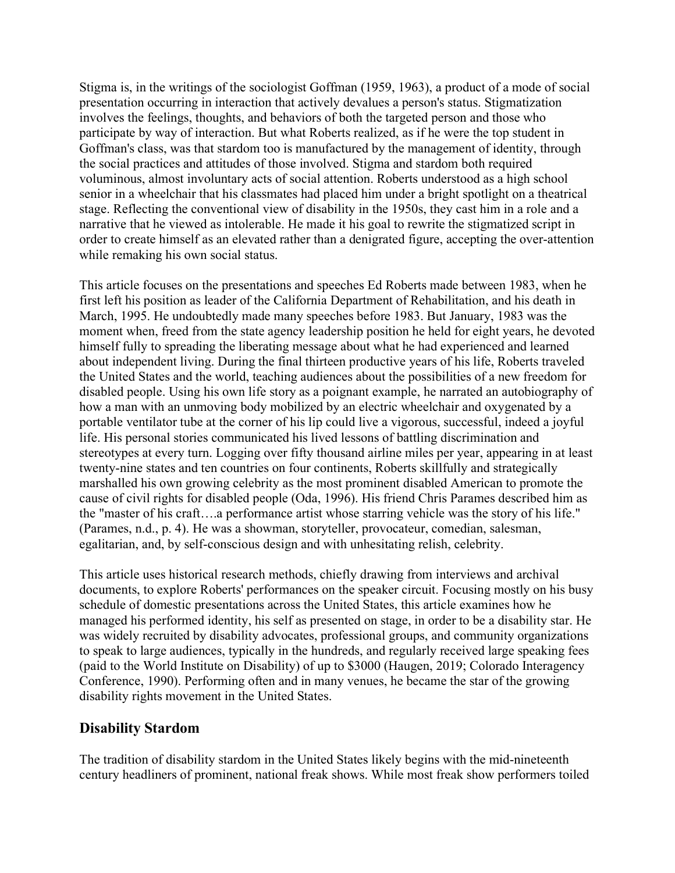Stigma is, in the writings of the sociologist Goffman (1959, 1963), a product of a mode of social presentation occurring in interaction that actively devalues a person's status. Stigmatization involves the feelings, thoughts, and behaviors of both the targeted person and those who participate by way of interaction. But what Roberts realized, as if he were the top student in Goffman's class, was that stardom too is manufactured by the management of identity, through the social practices and attitudes of those involved. Stigma and stardom both required voluminous, almost involuntary acts of social attention. Roberts understood as a high school senior in a wheelchair that his classmates had placed him under a bright spotlight on a theatrical stage. Reflecting the conventional view of disability in the 1950s, they cast him in a role and a narrative that he viewed as intolerable. He made it his goal to rewrite the stigmatized script in order to create himself as an elevated rather than a denigrated figure, accepting the over-attention while remaking his own social status.

This article focuses on the presentations and speeches Ed Roberts made between 1983, when he first left his position as leader of the California Department of Rehabilitation, and his death in March, 1995. He undoubtedly made many speeches before 1983. But January, 1983 was the moment when, freed from the state agency leadership position he held for eight years, he devoted himself fully to spreading the liberating message about what he had experienced and learned about independent living. During the final thirteen productive years of his life, Roberts traveled the United States and the world, teaching audiences about the possibilities of a new freedom for disabled people. Using his own life story as a poignant example, he narrated an autobiography of how a man with an unmoving body mobilized by an electric wheelchair and oxygenated by a portable ventilator tube at the corner of his lip could live a vigorous, successful, indeed a joyful life. His personal stories communicated his lived lessons of battling discrimination and stereotypes at every turn. Logging over fifty thousand airline miles per year, appearing in at least twenty-nine states and ten countries on four continents, Roberts skillfully and strategically marshalled his own growing celebrity as the most prominent disabled American to promote the cause of civil rights for disabled people (Oda, 1996). His friend Chris Parames described him as the "master of his craft….a performance artist whose starring vehicle was the story of his life." (Parames, n.d., p. 4). He was a showman, storyteller, provocateur, comedian, salesman, egalitarian, and, by self-conscious design and with unhesitating relish, celebrity.

This article uses historical research methods, chiefly drawing from interviews and archival documents, to explore Roberts' performances on the speaker circuit. Focusing mostly on his busy schedule of domestic presentations across the United States, this article examines how he managed his performed identity, his self as presented on stage, in order to be a disability star. He was widely recruited by disability advocates, professional groups, and community organizations to speak to large audiences, typically in the hundreds, and regularly received large speaking fees (paid to the World Institute on Disability) of up to \$3000 (Haugen, 2019; Colorado Interagency Conference, 1990). Performing often and in many venues, he became the star of the growing disability rights movement in the United States.

#### **Disability Stardom**

The tradition of disability stardom in the United States likely begins with the mid-nineteenth century headliners of prominent, national freak shows. While most freak show performers toiled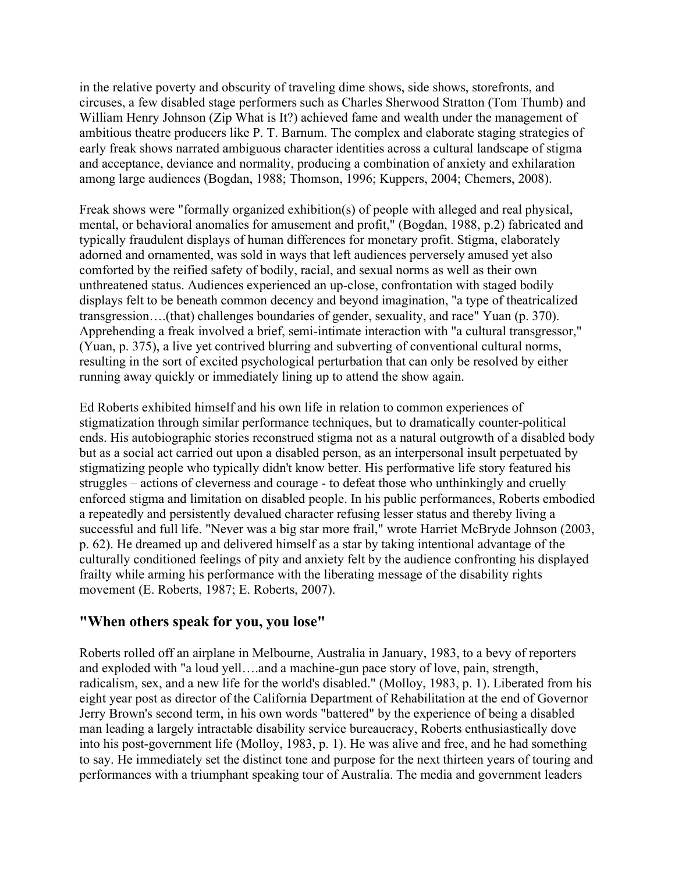in the relative poverty and obscurity of traveling dime shows, side shows, storefronts, and circuses, a few disabled stage performers such as Charles Sherwood Stratton (Tom Thumb) and William Henry Johnson (Zip What is It?) achieved fame and wealth under the management of ambitious theatre producers like P. T. Barnum. The complex and elaborate staging strategies of early freak shows narrated ambiguous character identities across a cultural landscape of stigma and acceptance, deviance and normality, producing a combination of anxiety and exhilaration among large audiences (Bogdan, 1988; Thomson, 1996; Kuppers, 2004; Chemers, 2008).

Freak shows were "formally organized exhibition(s) of people with alleged and real physical, mental, or behavioral anomalies for amusement and profit," (Bogdan, 1988, p.2) fabricated and typically fraudulent displays of human differences for monetary profit. Stigma, elaborately adorned and ornamented, was sold in ways that left audiences perversely amused yet also comforted by the reified safety of bodily, racial, and sexual norms as well as their own unthreatened status. Audiences experienced an up-close, confrontation with staged bodily displays felt to be beneath common decency and beyond imagination, "a type of theatricalized transgression….(that) challenges boundaries of gender, sexuality, and race" Yuan (p. 370). Apprehending a freak involved a brief, semi-intimate interaction with "a cultural transgressor," (Yuan, p. 375), a live yet contrived blurring and subverting of conventional cultural norms, resulting in the sort of excited psychological perturbation that can only be resolved by either running away quickly or immediately lining up to attend the show again.

Ed Roberts exhibited himself and his own life in relation to common experiences of stigmatization through similar performance techniques, but to dramatically counter-political ends. His autobiographic stories reconstrued stigma not as a natural outgrowth of a disabled body but as a social act carried out upon a disabled person, as an interpersonal insult perpetuated by stigmatizing people who typically didn't know better. His performative life story featured his struggles – actions of cleverness and courage - to defeat those who unthinkingly and cruelly enforced stigma and limitation on disabled people. In his public performances, Roberts embodied a repeatedly and persistently devalued character refusing lesser status and thereby living a successful and full life. "Never was a big star more frail," wrote Harriet McBryde Johnson (2003, p. 62). He dreamed up and delivered himself as a star by taking intentional advantage of the culturally conditioned feelings of pity and anxiety felt by the audience confronting his displayed frailty while arming his performance with the liberating message of the disability rights movement (E. Roberts, 1987; E. Roberts, 2007).

#### **"When others speak for you, you lose"**

Roberts rolled off an airplane in Melbourne, Australia in January, 1983, to a bevy of reporters and exploded with "a loud yell….and a machine-gun pace story of love, pain, strength, radicalism, sex, and a new life for the world's disabled." (Molloy, 1983, p. 1). Liberated from his eight year post as director of the California Department of Rehabilitation at the end of Governor Jerry Brown's second term, in his own words "battered" by the experience of being a disabled man leading a largely intractable disability service bureaucracy, Roberts enthusiastically dove into his post-government life (Molloy, 1983, p. 1). He was alive and free, and he had something to say. He immediately set the distinct tone and purpose for the next thirteen years of touring and performances with a triumphant speaking tour of Australia. The media and government leaders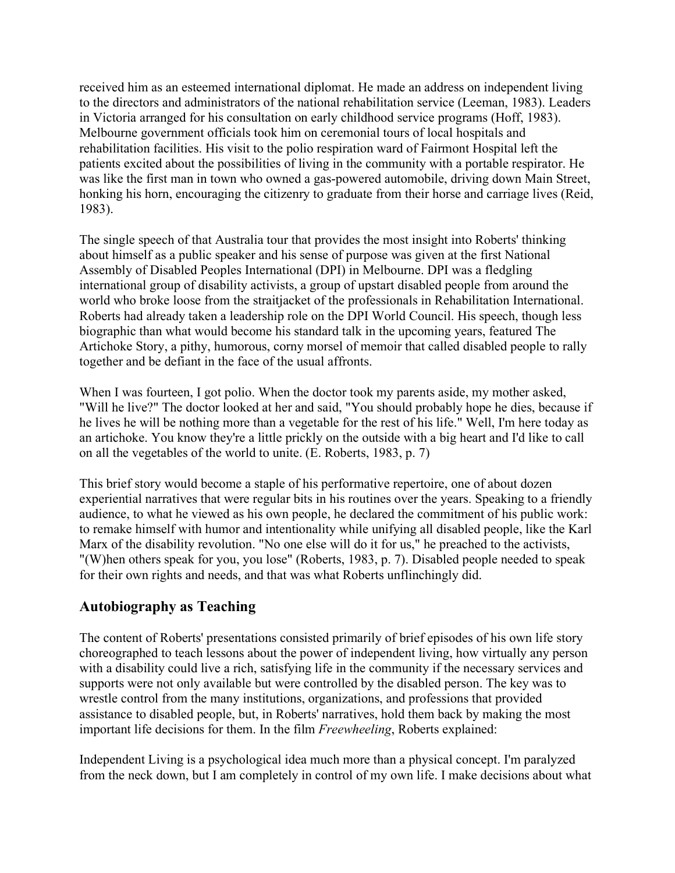received him as an esteemed international diplomat. He made an address on independent living to the directors and administrators of the national rehabilitation service (Leeman, 1983). Leaders in Victoria arranged for his consultation on early childhood service programs (Hoff, 1983). Melbourne government officials took him on ceremonial tours of local hospitals and rehabilitation facilities. His visit to the polio respiration ward of Fairmont Hospital left the patients excited about the possibilities of living in the community with a portable respirator. He was like the first man in town who owned a gas-powered automobile, driving down Main Street, honking his horn, encouraging the citizenry to graduate from their horse and carriage lives (Reid, 1983).

The single speech of that Australia tour that provides the most insight into Roberts' thinking about himself as a public speaker and his sense of purpose was given at the first National Assembly of Disabled Peoples International (DPI) in Melbourne. DPI was a fledgling international group of disability activists, a group of upstart disabled people from around the world who broke loose from the straitjacket of the professionals in Rehabilitation International. Roberts had already taken a leadership role on the DPI World Council. His speech, though less biographic than what would become his standard talk in the upcoming years, featured The Artichoke Story, a pithy, humorous, corny morsel of memoir that called disabled people to rally together and be defiant in the face of the usual affronts.

When I was fourteen, I got polio. When the doctor took my parents aside, my mother asked, "Will he live?" The doctor looked at her and said, "You should probably hope he dies, because if he lives he will be nothing more than a vegetable for the rest of his life." Well, I'm here today as an artichoke. You know they're a little prickly on the outside with a big heart and I'd like to call on all the vegetables of the world to unite. (E. Roberts, 1983, p. 7)

This brief story would become a staple of his performative repertoire, one of about dozen experiential narratives that were regular bits in his routines over the years. Speaking to a friendly audience, to what he viewed as his own people, he declared the commitment of his public work: to remake himself with humor and intentionality while unifying all disabled people, like the Karl Marx of the disability revolution. "No one else will do it for us," he preached to the activists, "(W)hen others speak for you, you lose" (Roberts, 1983, p. 7). Disabled people needed to speak for their own rights and needs, and that was what Roberts unflinchingly did.

## **Autobiography as Teaching**

The content of Roberts' presentations consisted primarily of brief episodes of his own life story choreographed to teach lessons about the power of independent living, how virtually any person with a disability could live a rich, satisfying life in the community if the necessary services and supports were not only available but were controlled by the disabled person. The key was to wrestle control from the many institutions, organizations, and professions that provided assistance to disabled people, but, in Roberts' narratives, hold them back by making the most important life decisions for them. In the film *Freewheeling*, Roberts explained:

Independent Living is a psychological idea much more than a physical concept. I'm paralyzed from the neck down, but I am completely in control of my own life. I make decisions about what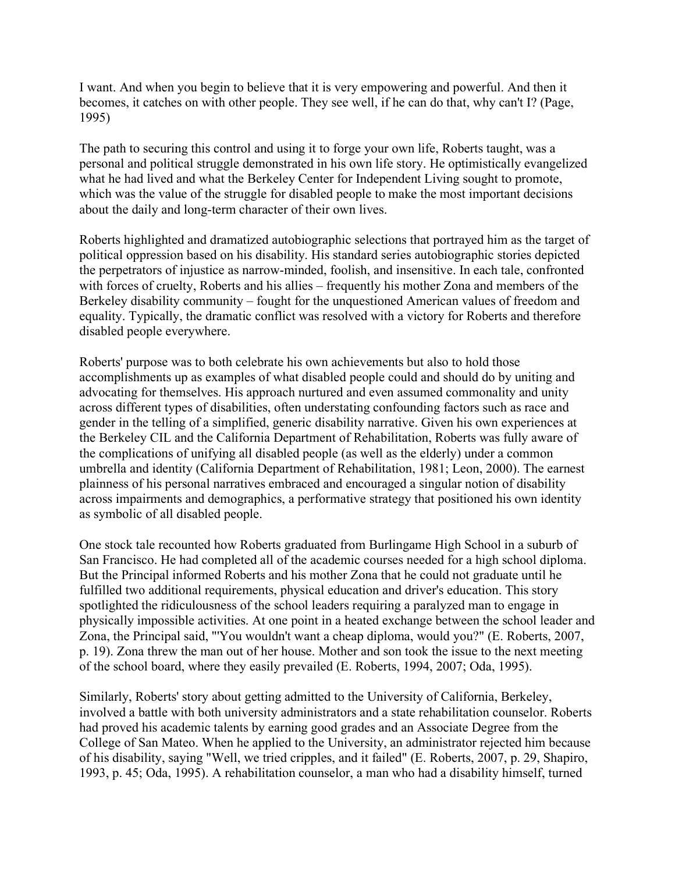I want. And when you begin to believe that it is very empowering and powerful. And then it becomes, it catches on with other people. They see well, if he can do that, why can't I? (Page, 1995)

The path to securing this control and using it to forge your own life, Roberts taught, was a personal and political struggle demonstrated in his own life story. He optimistically evangelized what he had lived and what the Berkeley Center for Independent Living sought to promote, which was the value of the struggle for disabled people to make the most important decisions about the daily and long-term character of their own lives.

Roberts highlighted and dramatized autobiographic selections that portrayed him as the target of political oppression based on his disability. His standard series autobiographic stories depicted the perpetrators of injustice as narrow-minded, foolish, and insensitive. In each tale, confronted with forces of cruelty, Roberts and his allies – frequently his mother Zona and members of the Berkeley disability community – fought for the unquestioned American values of freedom and equality. Typically, the dramatic conflict was resolved with a victory for Roberts and therefore disabled people everywhere.

Roberts' purpose was to both celebrate his own achievements but also to hold those accomplishments up as examples of what disabled people could and should do by uniting and advocating for themselves. His approach nurtured and even assumed commonality and unity across different types of disabilities, often understating confounding factors such as race and gender in the telling of a simplified, generic disability narrative. Given his own experiences at the Berkeley CIL and the California Department of Rehabilitation, Roberts was fully aware of the complications of unifying all disabled people (as well as the elderly) under a common umbrella and identity (California Department of Rehabilitation, 1981; Leon, 2000). The earnest plainness of his personal narratives embraced and encouraged a singular notion of disability across impairments and demographics, a performative strategy that positioned his own identity as symbolic of all disabled people.

One stock tale recounted how Roberts graduated from Burlingame High School in a suburb of San Francisco. He had completed all of the academic courses needed for a high school diploma. But the Principal informed Roberts and his mother Zona that he could not graduate until he fulfilled two additional requirements, physical education and driver's education. This story spotlighted the ridiculousness of the school leaders requiring a paralyzed man to engage in physically impossible activities. At one point in a heated exchange between the school leader and Zona, the Principal said, "'You wouldn't want a cheap diploma, would you?" (E. Roberts, 2007, p. 19). Zona threw the man out of her house. Mother and son took the issue to the next meeting of the school board, where they easily prevailed (E. Roberts, 1994, 2007; Oda, 1995).

Similarly, Roberts' story about getting admitted to the University of California, Berkeley, involved a battle with both university administrators and a state rehabilitation counselor. Roberts had proved his academic talents by earning good grades and an Associate Degree from the College of San Mateo. When he applied to the University, an administrator rejected him because of his disability, saying "Well, we tried cripples, and it failed" (E. Roberts, 2007, p. 29, Shapiro, 1993, p. 45; Oda, 1995). A rehabilitation counselor, a man who had a disability himself, turned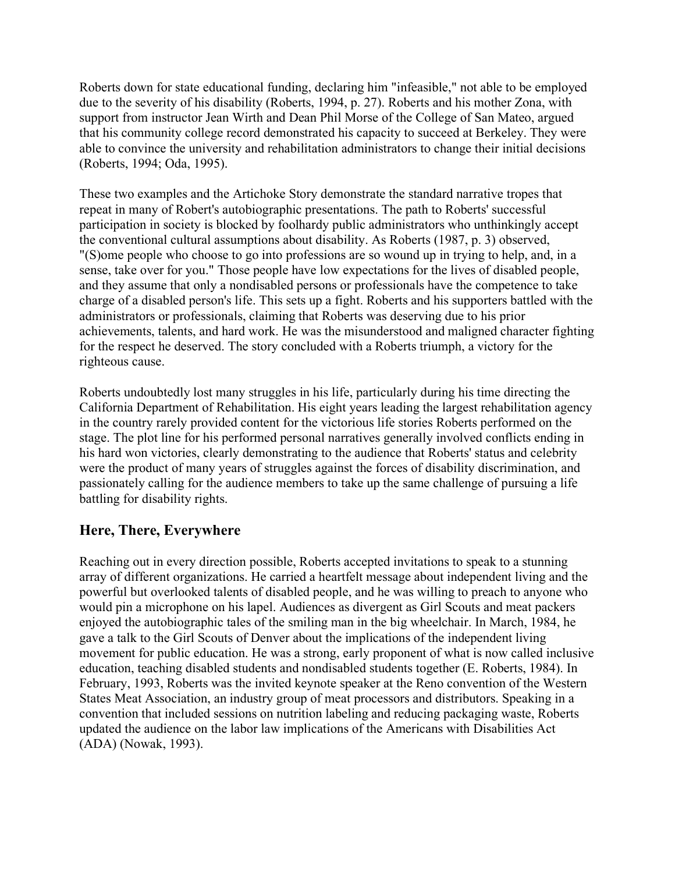Roberts down for state educational funding, declaring him "infeasible," not able to be employed due to the severity of his disability (Roberts, 1994, p. 27). Roberts and his mother Zona, with support from instructor Jean Wirth and Dean Phil Morse of the College of San Mateo, argued that his community college record demonstrated his capacity to succeed at Berkeley. They were able to convince the university and rehabilitation administrators to change their initial decisions (Roberts, 1994; Oda, 1995).

These two examples and the Artichoke Story demonstrate the standard narrative tropes that repeat in many of Robert's autobiographic presentations. The path to Roberts' successful participation in society is blocked by foolhardy public administrators who unthinkingly accept the conventional cultural assumptions about disability. As Roberts (1987, p. 3) observed, "(S)ome people who choose to go into professions are so wound up in trying to help, and, in a sense, take over for you." Those people have low expectations for the lives of disabled people, and they assume that only a nondisabled persons or professionals have the competence to take charge of a disabled person's life. This sets up a fight. Roberts and his supporters battled with the administrators or professionals, claiming that Roberts was deserving due to his prior achievements, talents, and hard work. He was the misunderstood and maligned character fighting for the respect he deserved. The story concluded with a Roberts triumph, a victory for the righteous cause.

Roberts undoubtedly lost many struggles in his life, particularly during his time directing the California Department of Rehabilitation. His eight years leading the largest rehabilitation agency in the country rarely provided content for the victorious life stories Roberts performed on the stage. The plot line for his performed personal narratives generally involved conflicts ending in his hard won victories, clearly demonstrating to the audience that Roberts' status and celebrity were the product of many years of struggles against the forces of disability discrimination, and passionately calling for the audience members to take up the same challenge of pursuing a life battling for disability rights.

#### **Here, There, Everywhere**

Reaching out in every direction possible, Roberts accepted invitations to speak to a stunning array of different organizations. He carried a heartfelt message about independent living and the powerful but overlooked talents of disabled people, and he was willing to preach to anyone who would pin a microphone on his lapel. Audiences as divergent as Girl Scouts and meat packers enjoyed the autobiographic tales of the smiling man in the big wheelchair. In March, 1984, he gave a talk to the Girl Scouts of Denver about the implications of the independent living movement for public education. He was a strong, early proponent of what is now called inclusive education, teaching disabled students and nondisabled students together (E. Roberts, 1984). In February, 1993, Roberts was the invited keynote speaker at the Reno convention of the Western States Meat Association, an industry group of meat processors and distributors. Speaking in a convention that included sessions on nutrition labeling and reducing packaging waste, Roberts updated the audience on the labor law implications of the Americans with Disabilities Act (ADA) (Nowak, 1993).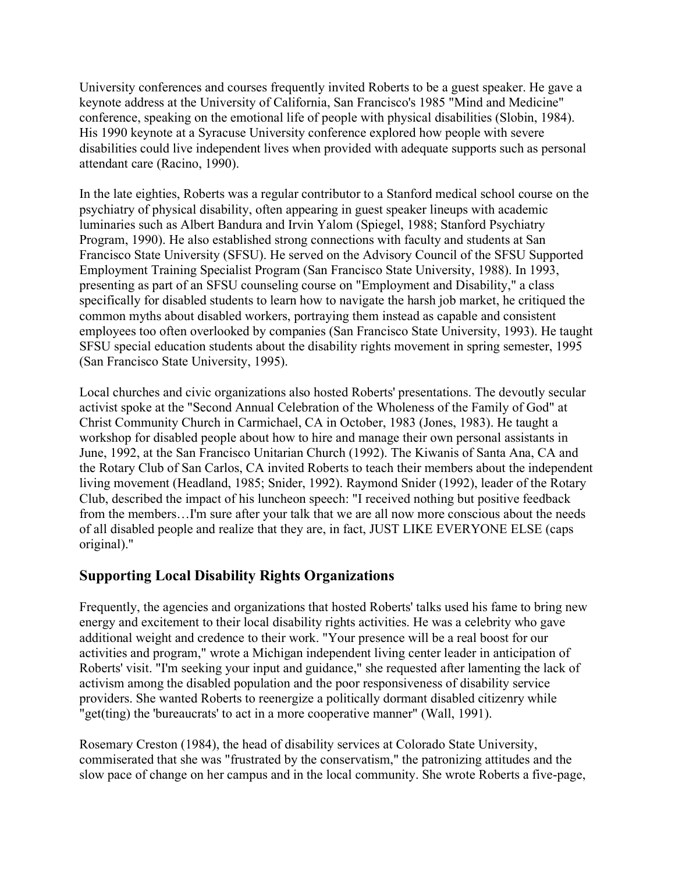University conferences and courses frequently invited Roberts to be a guest speaker. He gave a keynote address at the University of California, San Francisco's 1985 "Mind and Medicine" conference, speaking on the emotional life of people with physical disabilities (Slobin, 1984). His 1990 keynote at a Syracuse University conference explored how people with severe disabilities could live independent lives when provided with adequate supports such as personal attendant care (Racino, 1990).

In the late eighties, Roberts was a regular contributor to a Stanford medical school course on the psychiatry of physical disability, often appearing in guest speaker lineups with academic luminaries such as Albert Bandura and Irvin Yalom (Spiegel, 1988; Stanford Psychiatry Program, 1990). He also established strong connections with faculty and students at San Francisco State University (SFSU). He served on the Advisory Council of the SFSU Supported Employment Training Specialist Program (San Francisco State University, 1988). In 1993, presenting as part of an SFSU counseling course on "Employment and Disability," a class specifically for disabled students to learn how to navigate the harsh job market, he critiqued the common myths about disabled workers, portraying them instead as capable and consistent employees too often overlooked by companies (San Francisco State University, 1993). He taught SFSU special education students about the disability rights movement in spring semester, 1995 (San Francisco State University, 1995).

Local churches and civic organizations also hosted Roberts' presentations. The devoutly secular activist spoke at the "Second Annual Celebration of the Wholeness of the Family of God" at Christ Community Church in Carmichael, CA in October, 1983 (Jones, 1983). He taught a workshop for disabled people about how to hire and manage their own personal assistants in June, 1992, at the San Francisco Unitarian Church (1992). The Kiwanis of Santa Ana, CA and the Rotary Club of San Carlos, CA invited Roberts to teach their members about the independent living movement (Headland, 1985; Snider, 1992). Raymond Snider (1992), leader of the Rotary Club, described the impact of his luncheon speech: "I received nothing but positive feedback from the members…I'm sure after your talk that we are all now more conscious about the needs of all disabled people and realize that they are, in fact, JUST LIKE EVERYONE ELSE (caps original)."

## **Supporting Local Disability Rights Organizations**

Frequently, the agencies and organizations that hosted Roberts' talks used his fame to bring new energy and excitement to their local disability rights activities. He was a celebrity who gave additional weight and credence to their work. "Your presence will be a real boost for our activities and program," wrote a Michigan independent living center leader in anticipation of Roberts' visit. "I'm seeking your input and guidance," she requested after lamenting the lack of activism among the disabled population and the poor responsiveness of disability service providers. She wanted Roberts to reenergize a politically dormant disabled citizenry while "get(ting) the 'bureaucrats' to act in a more cooperative manner" (Wall, 1991).

Rosemary Creston (1984), the head of disability services at Colorado State University, commiserated that she was "frustrated by the conservatism," the patronizing attitudes and the slow pace of change on her campus and in the local community. She wrote Roberts a five-page,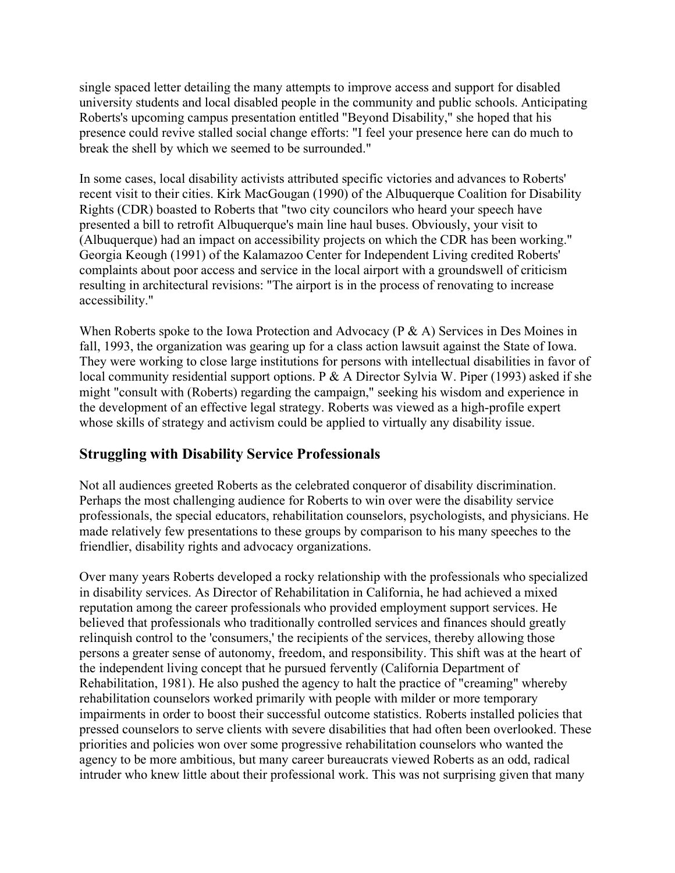single spaced letter detailing the many attempts to improve access and support for disabled university students and local disabled people in the community and public schools. Anticipating Roberts's upcoming campus presentation entitled "Beyond Disability," she hoped that his presence could revive stalled social change efforts: "I feel your presence here can do much to break the shell by which we seemed to be surrounded."

In some cases, local disability activists attributed specific victories and advances to Roberts' recent visit to their cities. Kirk MacGougan (1990) of the Albuquerque Coalition for Disability Rights (CDR) boasted to Roberts that "two city councilors who heard your speech have presented a bill to retrofit Albuquerque's main line haul buses. Obviously, your visit to (Albuquerque) had an impact on accessibility projects on which the CDR has been working." Georgia Keough (1991) of the Kalamazoo Center for Independent Living credited Roberts' complaints about poor access and service in the local airport with a groundswell of criticism resulting in architectural revisions: "The airport is in the process of renovating to increase accessibility."

When Roberts spoke to the Iowa Protection and Advocacy (P & A) Services in Des Moines in fall, 1993, the organization was gearing up for a class action lawsuit against the State of Iowa. They were working to close large institutions for persons with intellectual disabilities in favor of local community residential support options. P & A Director Sylvia W. Piper (1993) asked if she might "consult with (Roberts) regarding the campaign," seeking his wisdom and experience in the development of an effective legal strategy. Roberts was viewed as a high-profile expert whose skills of strategy and activism could be applied to virtually any disability issue.

#### **Struggling with Disability Service Professionals**

Not all audiences greeted Roberts as the celebrated conqueror of disability discrimination. Perhaps the most challenging audience for Roberts to win over were the disability service professionals, the special educators, rehabilitation counselors, psychologists, and physicians. He made relatively few presentations to these groups by comparison to his many speeches to the friendlier, disability rights and advocacy organizations.

Over many years Roberts developed a rocky relationship with the professionals who specialized in disability services. As Director of Rehabilitation in California, he had achieved a mixed reputation among the career professionals who provided employment support services. He believed that professionals who traditionally controlled services and finances should greatly relinquish control to the 'consumers,' the recipients of the services, thereby allowing those persons a greater sense of autonomy, freedom, and responsibility. This shift was at the heart of the independent living concept that he pursued fervently (California Department of Rehabilitation, 1981). He also pushed the agency to halt the practice of "creaming" whereby rehabilitation counselors worked primarily with people with milder or more temporary impairments in order to boost their successful outcome statistics. Roberts installed policies that pressed counselors to serve clients with severe disabilities that had often been overlooked. These priorities and policies won over some progressive rehabilitation counselors who wanted the agency to be more ambitious, but many career bureaucrats viewed Roberts as an odd, radical intruder who knew little about their professional work. This was not surprising given that many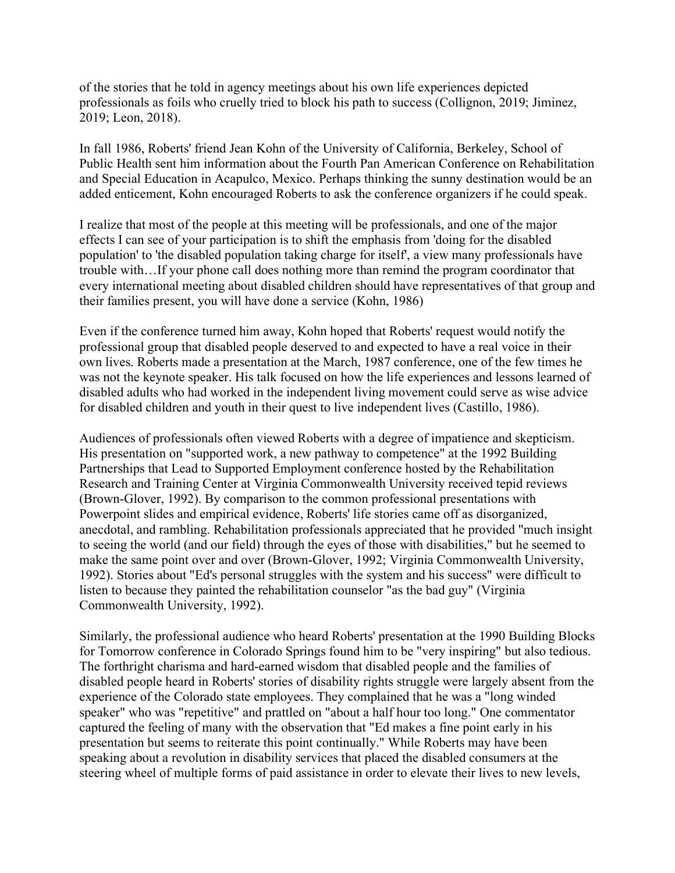of the stories that he told in agency meetings about his own life experiences depicted professionals as foils who cruelly tried to block his path to success (Collignon, 2019; Jiminez, 2019; Leon, 2018).

In fall 1986, Roberts' friend Jean Kohn of the University of California, Berkeley, School of Public Health sent him information about the Fourth Pan American Conference on Rehabilitation and Special Education in Acapulco, Mexico. Perhaps thinking the sunny destination would be an added enticement, Kohn encouraged Roberts to ask the conference organizers if he could speak.

I realize that most of the people at this meeting will be professionals, and one of the major effects I can see of your participation is to shift the emphasis from 'doing for the disabled population' to 'the disabled population taking charge for itself', a view many professionals have trouble with…If your phone call does nothing more than remind the program coordinator that every international meeting about disabled children should have representatives of that group and their families present, you will have done a service (Kohn, 1986)

Even if the conference turned him away, Kohn hoped that Roberts' request would notify the professional group that disabled people deserved to and expected to have a real voice in their own lives. Roberts made a presentation at the March, 1987 conference, one of the few times he was not the keynote speaker. His talk focused on how the life experiences and lessons learned of disabled adults who had worked in the independent living movement could serve as wise advice for disabled children and youth in their quest to live independent lives (Castillo, 1986).

Audiences of professionals often viewed Roberts with a degree of impatience and skepticism. His presentation on "supported work, a new pathway to competence" at the 1992 Building Partnerships that Lead to Supported Employment conference hosted by the Rehabilitation Research and Training Center at Virginia Commonwealth University received tepid reviews (Brown-Glover, 1992). By comparison to the common professional presentations with Powerpoint slides and empirical evidence, Roberts' life stories came off as disorganized, anecdotal, and rambling. Rehabilitation professionals appreciated that he provided "much insight to seeing the world (and our field) through the eyes of those with disabilities," but he seemed to make the same point over and over (Brown-Glover, 1992; Virginia Commonwealth University, 1992). Stories about "Ed's personal struggles with the system and his success" were difficult to listen to because they painted the rehabilitation counselor "as the bad guy" (Virginia Commonwealth University, 1992).

Similarly, the professional audience who heard Roberts' presentation at the 1990 Building Blocks for Tomorrow conference in Colorado Springs found him to be "very inspiring" but also tedious. The forthright charisma and hard-earned wisdom that disabled people and the families of disabled people heard in Roberts' stories of disability rights struggle were largely absent from the experience of the Colorado state employees. They complained that he was a "long winded speaker" who was "repetitive" and prattled on "about a half hour too long." One commentator captured the feeling of many with the observation that "Ed makes a fine point early in his presentation but seems to reiterate this point continually." While Roberts may have been speaking about a revolution in disability services that placed the disabled consumers at the steering wheel of multiple forms of paid assistance in order to elevate their lives to new levels,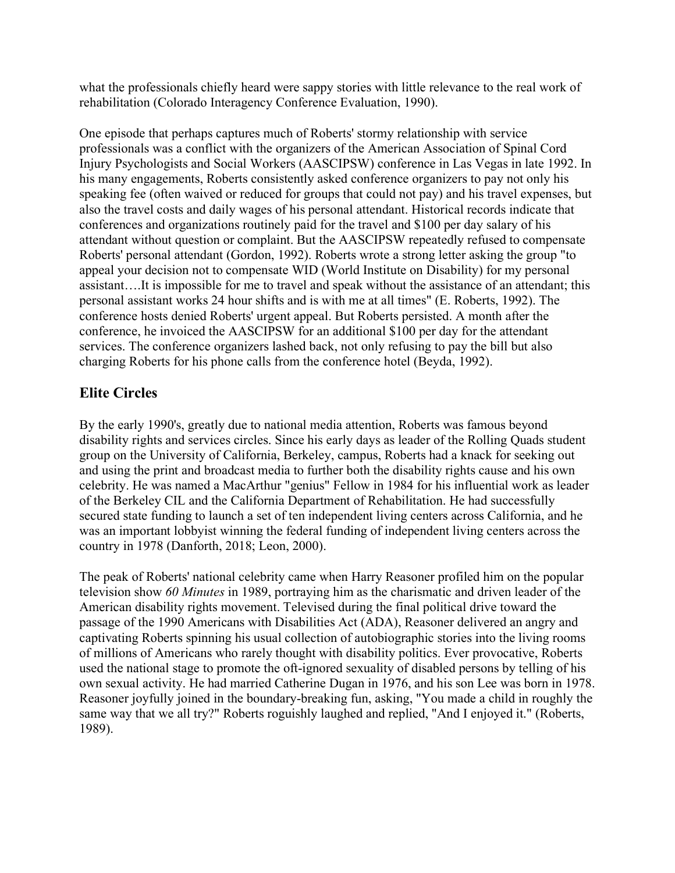what the professionals chiefly heard were sappy stories with little relevance to the real work of rehabilitation (Colorado Interagency Conference Evaluation, 1990).

One episode that perhaps captures much of Roberts' stormy relationship with service professionals was a conflict with the organizers of the American Association of Spinal Cord Injury Psychologists and Social Workers (AASCIPSW) conference in Las Vegas in late 1992. In his many engagements, Roberts consistently asked conference organizers to pay not only his speaking fee (often waived or reduced for groups that could not pay) and his travel expenses, but also the travel costs and daily wages of his personal attendant. Historical records indicate that conferences and organizations routinely paid for the travel and \$100 per day salary of his attendant without question or complaint. But the AASCIPSW repeatedly refused to compensate Roberts' personal attendant (Gordon, 1992). Roberts wrote a strong letter asking the group "to appeal your decision not to compensate WID (World Institute on Disability) for my personal assistant….It is impossible for me to travel and speak without the assistance of an attendant; this personal assistant works 24 hour shifts and is with me at all times" (E. Roberts, 1992). The conference hosts denied Roberts' urgent appeal. But Roberts persisted. A month after the conference, he invoiced the AASCIPSW for an additional \$100 per day for the attendant services. The conference organizers lashed back, not only refusing to pay the bill but also charging Roberts for his phone calls from the conference hotel (Beyda, 1992).

## **Elite Circles**

By the early 1990's, greatly due to national media attention, Roberts was famous beyond disability rights and services circles. Since his early days as leader of the Rolling Quads student group on the University of California, Berkeley, campus, Roberts had a knack for seeking out and using the print and broadcast media to further both the disability rights cause and his own celebrity. He was named a MacArthur "genius" Fellow in 1984 for his influential work as leader of the Berkeley CIL and the California Department of Rehabilitation. He had successfully secured state funding to launch a set of ten independent living centers across California, and he was an important lobbyist winning the federal funding of independent living centers across the country in 1978 (Danforth, 2018; Leon, 2000).

The peak of Roberts' national celebrity came when Harry Reasoner profiled him on the popular television show *60 Minutes* in 1989, portraying him as the charismatic and driven leader of the American disability rights movement. Televised during the final political drive toward the passage of the 1990 Americans with Disabilities Act (ADA), Reasoner delivered an angry and captivating Roberts spinning his usual collection of autobiographic stories into the living rooms of millions of Americans who rarely thought with disability politics. Ever provocative, Roberts used the national stage to promote the oft-ignored sexuality of disabled persons by telling of his own sexual activity. He had married Catherine Dugan in 1976, and his son Lee was born in 1978. Reasoner joyfully joined in the boundary-breaking fun, asking, "You made a child in roughly the same way that we all try?" Roberts roguishly laughed and replied, "And I enjoyed it." (Roberts, 1989).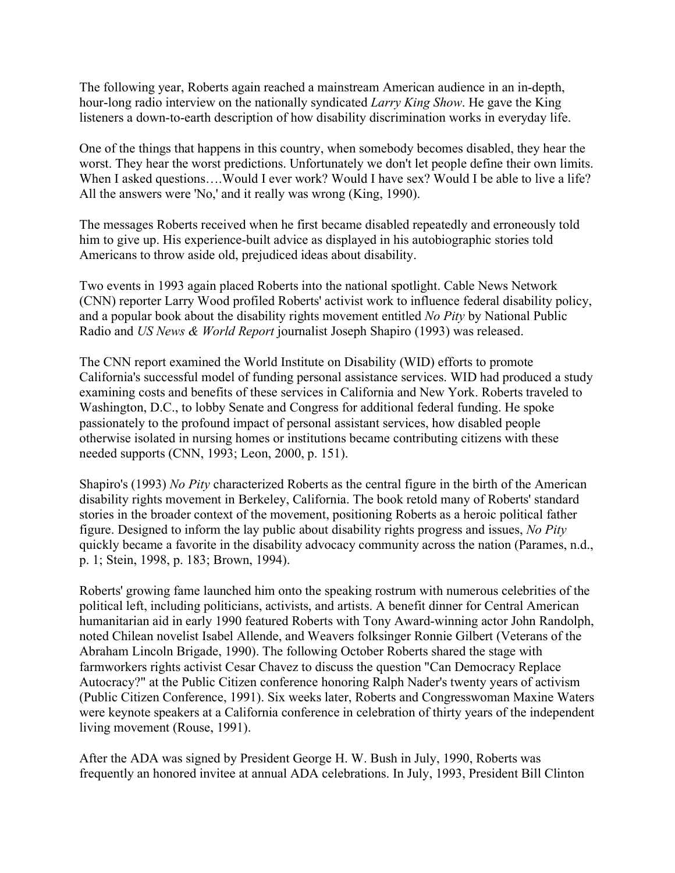The following year, Roberts again reached a mainstream American audience in an in-depth, hour-long radio interview on the nationally syndicated *Larry King Show*. He gave the King listeners a down-to-earth description of how disability discrimination works in everyday life.

One of the things that happens in this country, when somebody becomes disabled, they hear the worst. They hear the worst predictions. Unfortunately we don't let people define their own limits. When I asked questions....Would I ever work? Would I have sex? Would I be able to live a life? All the answers were 'No,' and it really was wrong (King, 1990).

The messages Roberts received when he first became disabled repeatedly and erroneously told him to give up. His experience-built advice as displayed in his autobiographic stories told Americans to throw aside old, prejudiced ideas about disability.

Two events in 1993 again placed Roberts into the national spotlight. Cable News Network (CNN) reporter Larry Wood profiled Roberts' activist work to influence federal disability policy, and a popular book about the disability rights movement entitled *No Pity* by National Public Radio and *US News & World Report* journalist Joseph Shapiro (1993) was released.

The CNN report examined the World Institute on Disability (WID) efforts to promote California's successful model of funding personal assistance services. WID had produced a study examining costs and benefits of these services in California and New York. Roberts traveled to Washington, D.C., to lobby Senate and Congress for additional federal funding. He spoke passionately to the profound impact of personal assistant services, how disabled people otherwise isolated in nursing homes or institutions became contributing citizens with these needed supports (CNN, 1993; Leon, 2000, p. 151).

Shapiro's (1993) *No Pity* characterized Roberts as the central figure in the birth of the American disability rights movement in Berkeley, California. The book retold many of Roberts' standard stories in the broader context of the movement, positioning Roberts as a heroic political father figure. Designed to inform the lay public about disability rights progress and issues, *No Pity* quickly became a favorite in the disability advocacy community across the nation (Parames, n.d., p. 1; Stein, 1998, p. 183; Brown, 1994).

Roberts' growing fame launched him onto the speaking rostrum with numerous celebrities of the political left, including politicians, activists, and artists. A benefit dinner for Central American humanitarian aid in early 1990 featured Roberts with Tony Award-winning actor John Randolph, noted Chilean novelist Isabel Allende, and Weavers folksinger Ronnie Gilbert (Veterans of the Abraham Lincoln Brigade, 1990). The following October Roberts shared the stage with farmworkers rights activist Cesar Chavez to discuss the question "Can Democracy Replace Autocracy?" at the Public Citizen conference honoring Ralph Nader's twenty years of activism (Public Citizen Conference, 1991). Six weeks later, Roberts and Congresswoman Maxine Waters were keynote speakers at a California conference in celebration of thirty years of the independent living movement (Rouse, 1991).

After the ADA was signed by President George H. W. Bush in July, 1990, Roberts was frequently an honored invitee at annual ADA celebrations. In July, 1993, President Bill Clinton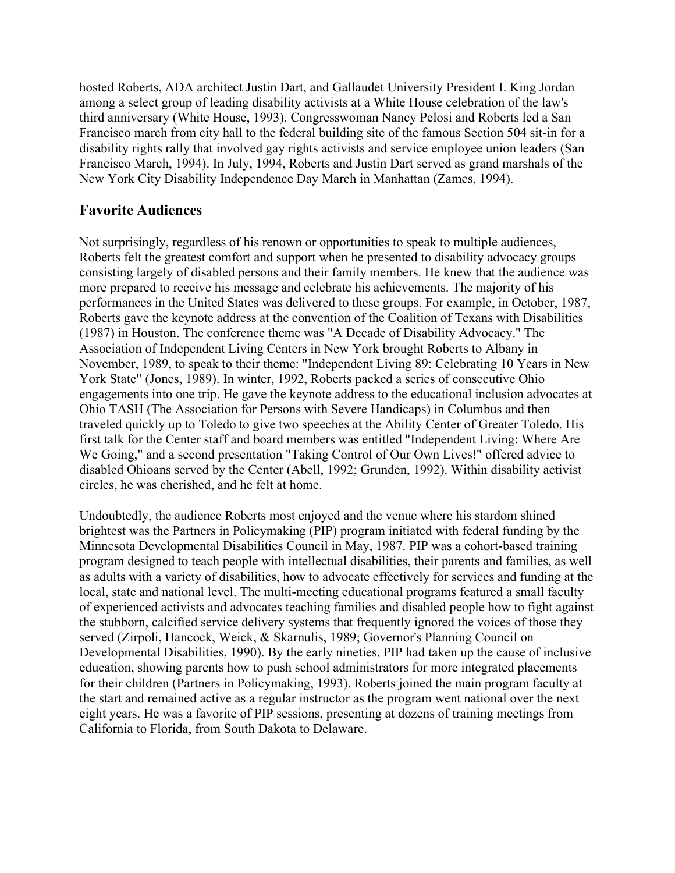hosted Roberts, ADA architect Justin Dart, and Gallaudet University President I. King Jordan among a select group of leading disability activists at a White House celebration of the law's third anniversary (White House, 1993). Congresswoman Nancy Pelosi and Roberts led a San Francisco march from city hall to the federal building site of the famous Section 504 sit-in for a disability rights rally that involved gay rights activists and service employee union leaders (San Francisco March, 1994). In July, 1994, Roberts and Justin Dart served as grand marshals of the New York City Disability Independence Day March in Manhattan (Zames, 1994).

#### **Favorite Audiences**

Not surprisingly, regardless of his renown or opportunities to speak to multiple audiences, Roberts felt the greatest comfort and support when he presented to disability advocacy groups consisting largely of disabled persons and their family members. He knew that the audience was more prepared to receive his message and celebrate his achievements. The majority of his performances in the United States was delivered to these groups. For example, in October, 1987, Roberts gave the keynote address at the convention of the Coalition of Texans with Disabilities (1987) in Houston. The conference theme was "A Decade of Disability Advocacy." The Association of Independent Living Centers in New York brought Roberts to Albany in November, 1989, to speak to their theme: "Independent Living 89: Celebrating 10 Years in New York State" (Jones, 1989). In winter, 1992, Roberts packed a series of consecutive Ohio engagements into one trip. He gave the keynote address to the educational inclusion advocates at Ohio TASH (The Association for Persons with Severe Handicaps) in Columbus and then traveled quickly up to Toledo to give two speeches at the Ability Center of Greater Toledo. His first talk for the Center staff and board members was entitled "Independent Living: Where Are We Going," and a second presentation "Taking Control of Our Own Lives!" offered advice to disabled Ohioans served by the Center (Abell, 1992; Grunden, 1992). Within disability activist circles, he was cherished, and he felt at home.

Undoubtedly, the audience Roberts most enjoyed and the venue where his stardom shined brightest was the Partners in Policymaking (PIP) program initiated with federal funding by the Minnesota Developmental Disabilities Council in May, 1987. PIP was a cohort-based training program designed to teach people with intellectual disabilities, their parents and families, as well as adults with a variety of disabilities, how to advocate effectively for services and funding at the local, state and national level. The multi-meeting educational programs featured a small faculty of experienced activists and advocates teaching families and disabled people how to fight against the stubborn, calcified service delivery systems that frequently ignored the voices of those they served (Zirpoli, Hancock, Weick, & Skarnulis, 1989; Governor's Planning Council on Developmental Disabilities, 1990). By the early nineties, PIP had taken up the cause of inclusive education, showing parents how to push school administrators for more integrated placements for their children (Partners in Policymaking, 1993). Roberts joined the main program faculty at the start and remained active as a regular instructor as the program went national over the next eight years. He was a favorite of PIP sessions, presenting at dozens of training meetings from California to Florida, from South Dakota to Delaware.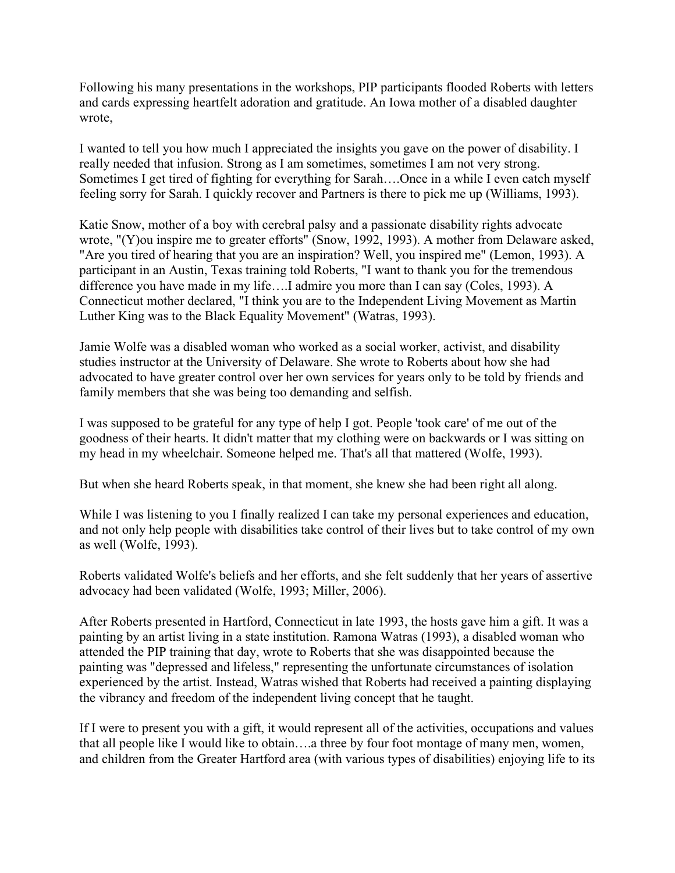Following his many presentations in the workshops, PIP participants flooded Roberts with letters and cards expressing heartfelt adoration and gratitude. An Iowa mother of a disabled daughter wrote,

I wanted to tell you how much I appreciated the insights you gave on the power of disability. I really needed that infusion. Strong as I am sometimes, sometimes I am not very strong. Sometimes I get tired of fighting for everything for Sarah….Once in a while I even catch myself feeling sorry for Sarah. I quickly recover and Partners is there to pick me up (Williams, 1993).

Katie Snow, mother of a boy with cerebral palsy and a passionate disability rights advocate wrote, "(Y)ou inspire me to greater efforts" (Snow, 1992, 1993). A mother from Delaware asked, "Are you tired of hearing that you are an inspiration? Well, you inspired me" (Lemon, 1993). A participant in an Austin, Texas training told Roberts, "I want to thank you for the tremendous difference you have made in my life….I admire you more than I can say (Coles, 1993). A Connecticut mother declared, "I think you are to the Independent Living Movement as Martin Luther King was to the Black Equality Movement" (Watras, 1993).

Jamie Wolfe was a disabled woman who worked as a social worker, activist, and disability studies instructor at the University of Delaware. She wrote to Roberts about how she had advocated to have greater control over her own services for years only to be told by friends and family members that she was being too demanding and selfish.

I was supposed to be grateful for any type of help I got. People 'took care' of me out of the goodness of their hearts. It didn't matter that my clothing were on backwards or I was sitting on my head in my wheelchair. Someone helped me. That's all that mattered (Wolfe, 1993).

But when she heard Roberts speak, in that moment, she knew she had been right all along.

While I was listening to you I finally realized I can take my personal experiences and education, and not only help people with disabilities take control of their lives but to take control of my own as well (Wolfe, 1993).

Roberts validated Wolfe's beliefs and her efforts, and she felt suddenly that her years of assertive advocacy had been validated (Wolfe, 1993; Miller, 2006).

After Roberts presented in Hartford, Connecticut in late 1993, the hosts gave him a gift. It was a painting by an artist living in a state institution. Ramona Watras (1993), a disabled woman who attended the PIP training that day, wrote to Roberts that she was disappointed because the painting was "depressed and lifeless," representing the unfortunate circumstances of isolation experienced by the artist. Instead, Watras wished that Roberts had received a painting displaying the vibrancy and freedom of the independent living concept that he taught.

If I were to present you with a gift, it would represent all of the activities, occupations and values that all people like I would like to obtain….a three by four foot montage of many men, women, and children from the Greater Hartford area (with various types of disabilities) enjoying life to its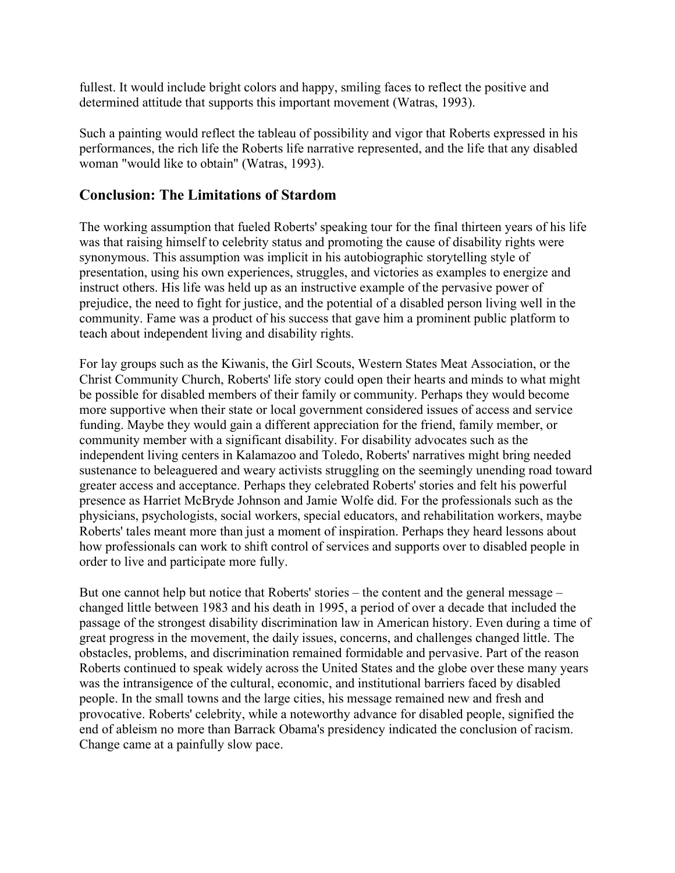fullest. It would include bright colors and happy, smiling faces to reflect the positive and determined attitude that supports this important movement (Watras, 1993).

Such a painting would reflect the tableau of possibility and vigor that Roberts expressed in his performances, the rich life the Roberts life narrative represented, and the life that any disabled woman "would like to obtain" (Watras, 1993).

#### **Conclusion: The Limitations of Stardom**

The working assumption that fueled Roberts' speaking tour for the final thirteen years of his life was that raising himself to celebrity status and promoting the cause of disability rights were synonymous. This assumption was implicit in his autobiographic storytelling style of presentation, using his own experiences, struggles, and victories as examples to energize and instruct others. His life was held up as an instructive example of the pervasive power of prejudice, the need to fight for justice, and the potential of a disabled person living well in the community. Fame was a product of his success that gave him a prominent public platform to teach about independent living and disability rights.

For lay groups such as the Kiwanis, the Girl Scouts, Western States Meat Association, or the Christ Community Church, Roberts' life story could open their hearts and minds to what might be possible for disabled members of their family or community. Perhaps they would become more supportive when their state or local government considered issues of access and service funding. Maybe they would gain a different appreciation for the friend, family member, or community member with a significant disability. For disability advocates such as the independent living centers in Kalamazoo and Toledo, Roberts' narratives might bring needed sustenance to beleaguered and weary activists struggling on the seemingly unending road toward greater access and acceptance. Perhaps they celebrated Roberts' stories and felt his powerful presence as Harriet McBryde Johnson and Jamie Wolfe did. For the professionals such as the physicians, psychologists, social workers, special educators, and rehabilitation workers, maybe Roberts' tales meant more than just a moment of inspiration. Perhaps they heard lessons about how professionals can work to shift control of services and supports over to disabled people in order to live and participate more fully.

But one cannot help but notice that Roberts' stories – the content and the general message – changed little between 1983 and his death in 1995, a period of over a decade that included the passage of the strongest disability discrimination law in American history. Even during a time of great progress in the movement, the daily issues, concerns, and challenges changed little. The obstacles, problems, and discrimination remained formidable and pervasive. Part of the reason Roberts continued to speak widely across the United States and the globe over these many years was the intransigence of the cultural, economic, and institutional barriers faced by disabled people. In the small towns and the large cities, his message remained new and fresh and provocative. Roberts' celebrity, while a noteworthy advance for disabled people, signified the end of ableism no more than Barrack Obama's presidency indicated the conclusion of racism. Change came at a painfully slow pace.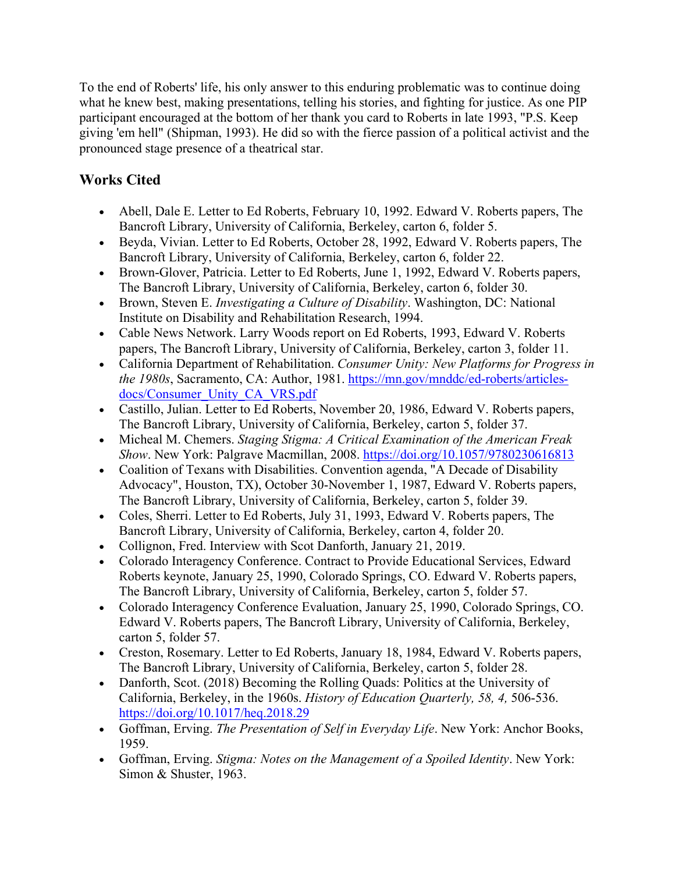To the end of Roberts' life, his only answer to this enduring problematic was to continue doing what he knew best, making presentations, telling his stories, and fighting for justice. As one PIP participant encouraged at the bottom of her thank you card to Roberts in late 1993, "P.S. Keep giving 'em hell" (Shipman, 1993). He did so with the fierce passion of a political activist and the pronounced stage presence of a theatrical star.

## **Works Cited**

- Abell, Dale E. Letter to Ed Roberts, February 10, 1992. Edward V. Roberts papers, The Bancroft Library, University of California, Berkeley, carton 6, folder 5.
- Beyda, Vivian. Letter to Ed Roberts, October 28, 1992, Edward V. Roberts papers, The Bancroft Library, University of California, Berkeley, carton 6, folder 22.
- Brown-Glover, Patricia. Letter to Ed Roberts, June 1, 1992, Edward V. Roberts papers, The Bancroft Library, University of California, Berkeley, carton 6, folder 30.
- Brown, Steven E. *Investigating a Culture of Disability*. Washington, DC: National Institute on Disability and Rehabilitation Research, 1994.
- Cable News Network. Larry Woods report on Ed Roberts, 1993, Edward V. Roberts papers, The Bancroft Library, University of California, Berkeley, carton 3, folder 11.
- California Department of Rehabilitation. *Consumer Unity: New Platforms for Progress in the 1980s*, Sacramento, CA: Author, 1981. [https://mn.gov/mnddc/ed-roberts/articles](https://mn.gov/mnddc/ed-roberts/articles-docs/Consumer_Unity_CA_VRS.pdf)[docs/Consumer\\_Unity\\_CA\\_VRS.pdf](https://mn.gov/mnddc/ed-roberts/articles-docs/Consumer_Unity_CA_VRS.pdf)
- Castillo, Julian. Letter to Ed Roberts, November 20, 1986, Edward V. Roberts papers, The Bancroft Library, University of California, Berkeley, carton 5, folder 37.
- Micheal M. Chemers. *Staging Stigma: A Critical Examination of the American Freak Show*. New York: Palgrave Macmillan, 2008.<https://doi.org/10.1057/9780230616813>
- Coalition of Texans with Disabilities. Convention agenda, "A Decade of Disability Advocacy", Houston, TX), October 30-November 1, 1987, Edward V. Roberts papers, The Bancroft Library, University of California, Berkeley, carton 5, folder 39.
- Coles, Sherri. Letter to Ed Roberts, July 31, 1993, Edward V. Roberts papers, The Bancroft Library, University of California, Berkeley, carton 4, folder 20.
- Collignon, Fred. Interview with Scot Danforth, January 21, 2019.
- Colorado Interagency Conference. Contract to Provide Educational Services, Edward Roberts keynote, January 25, 1990, Colorado Springs, CO. Edward V. Roberts papers, The Bancroft Library, University of California, Berkeley, carton 5, folder 57.
- Colorado Interagency Conference Evaluation, January 25, 1990, Colorado Springs, CO. Edward V. Roberts papers, The Bancroft Library, University of California, Berkeley, carton 5, folder 57.
- Creston, Rosemary. Letter to Ed Roberts, January 18, 1984, Edward V. Roberts papers, The Bancroft Library, University of California, Berkeley, carton 5, folder 28.
- Danforth, Scot. (2018) Becoming the Rolling Quads: Politics at the University of California, Berkeley, in the 1960s. *History of Education Quarterly, 58, 4,* 506-536. <https://doi.org/10.1017/heq.2018.29>
- Goffman, Erving. *The Presentation of Self in Everyday Life*. New York: Anchor Books, 1959.
- Goffman, Erving. *Stigma: Notes on the Management of a Spoiled Identity*. New York: Simon & Shuster, 1963.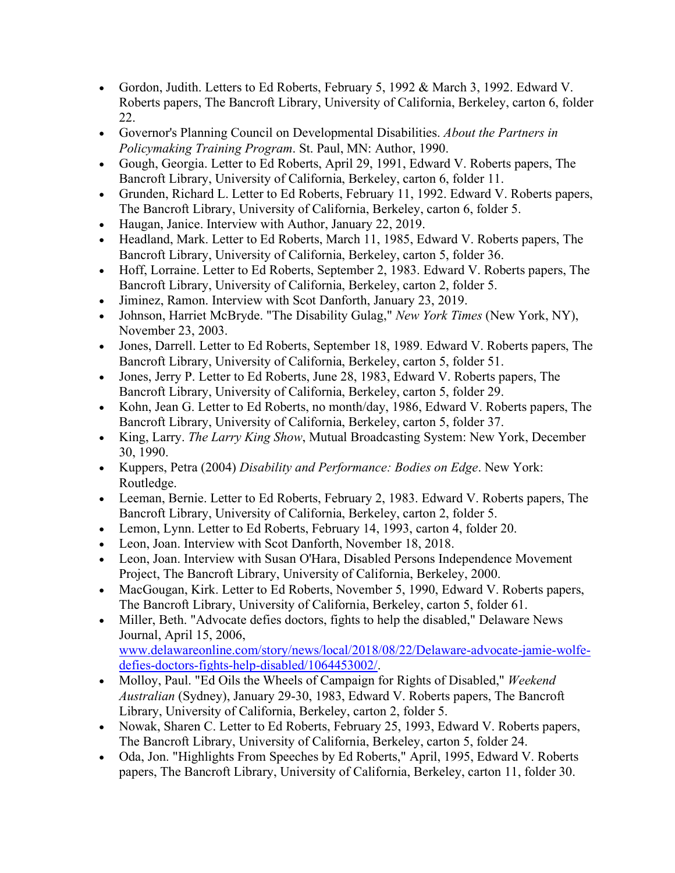- Gordon, Judith. Letters to Ed Roberts, February 5, 1992 & March 3, 1992. Edward V. Roberts papers, The Bancroft Library, University of California, Berkeley, carton 6, folder 22.
- Governor's Planning Council on Developmental Disabilities. *About the Partners in Policymaking Training Program*. St. Paul, MN: Author, 1990.
- Gough, Georgia. Letter to Ed Roberts, April 29, 1991, Edward V. Roberts papers, The Bancroft Library, University of California, Berkeley, carton 6, folder 11.
- Grunden, Richard L. Letter to Ed Roberts, February 11, 1992. Edward V. Roberts papers, The Bancroft Library, University of California, Berkeley, carton 6, folder 5.
- Haugan, Janice. Interview with Author, January 22, 2019.
- Headland, Mark. Letter to Ed Roberts, March 11, 1985, Edward V. Roberts papers, The Bancroft Library, University of California, Berkeley, carton 5, folder 36.
- Hoff, Lorraine. Letter to Ed Roberts, September 2, 1983. Edward V. Roberts papers, The Bancroft Library, University of California, Berkeley, carton 2, folder 5.
- Jiminez, Ramon. Interview with Scot Danforth, January 23, 2019.
- Johnson, Harriet McBryde. "The Disability Gulag," *New York Times* (New York, NY), November 23, 2003.
- Jones, Darrell. Letter to Ed Roberts, September 18, 1989. Edward V. Roberts papers, The Bancroft Library, University of California, Berkeley, carton 5, folder 51.
- Jones, Jerry P. Letter to Ed Roberts, June 28, 1983, Edward V. Roberts papers, The Bancroft Library, University of California, Berkeley, carton 5, folder 29.
- Kohn, Jean G. Letter to Ed Roberts, no month/day, 1986, Edward V. Roberts papers, The Bancroft Library, University of California, Berkeley, carton 5, folder 37.
- King, Larry. *The Larry King Show*, Mutual Broadcasting System: New York, December 30, 1990.
- Kuppers, Petra (2004) *Disability and Performance: Bodies on Edge*. New York: Routledge.
- Leeman, Bernie. Letter to Ed Roberts, February 2, 1983. Edward V. Roberts papers, The Bancroft Library, University of California, Berkeley, carton 2, folder 5.
- Lemon, Lynn. Letter to Ed Roberts, February 14, 1993, carton 4, folder 20.
- Leon, Joan. Interview with Scot Danforth, November 18, 2018.
- Leon, Joan. Interview with Susan O'Hara, Disabled Persons Independence Movement Project, The Bancroft Library, University of California, Berkeley, 2000.
- MacGougan, Kirk. Letter to Ed Roberts, November 5, 1990, Edward V. Roberts papers, The Bancroft Library, University of California, Berkeley, carton 5, folder 61.
- Miller, Beth. "Advocate defies doctors, fights to help the disabled," Delaware News Journal, April 15, 2006,

[www.delawareonline.com/story/news/local/2018/08/22/Delaware-advocate-jamie-wolfe](https://www.delawareonline.com/story/news/local/2018/08/22/delaware-advocate-jamie-wolfe-defies-doctors-fights-help-disabled/1064453002/)[defies-doctors-fights-help-disabled/1064453002/.](https://www.delawareonline.com/story/news/local/2018/08/22/delaware-advocate-jamie-wolfe-defies-doctors-fights-help-disabled/1064453002/)

- Molloy, Paul. "Ed Oils the Wheels of Campaign for Rights of Disabled," *Weekend Australian* (Sydney), January 29-30, 1983, Edward V. Roberts papers, The Bancroft Library, University of California, Berkeley, carton 2, folder 5.
- Nowak, Sharen C. Letter to Ed Roberts, February 25, 1993, Edward V. Roberts papers, The Bancroft Library, University of California, Berkeley, carton 5, folder 24.
- Oda, Jon. "Highlights From Speeches by Ed Roberts," April, 1995, Edward V. Roberts papers, The Bancroft Library, University of California, Berkeley, carton 11, folder 30.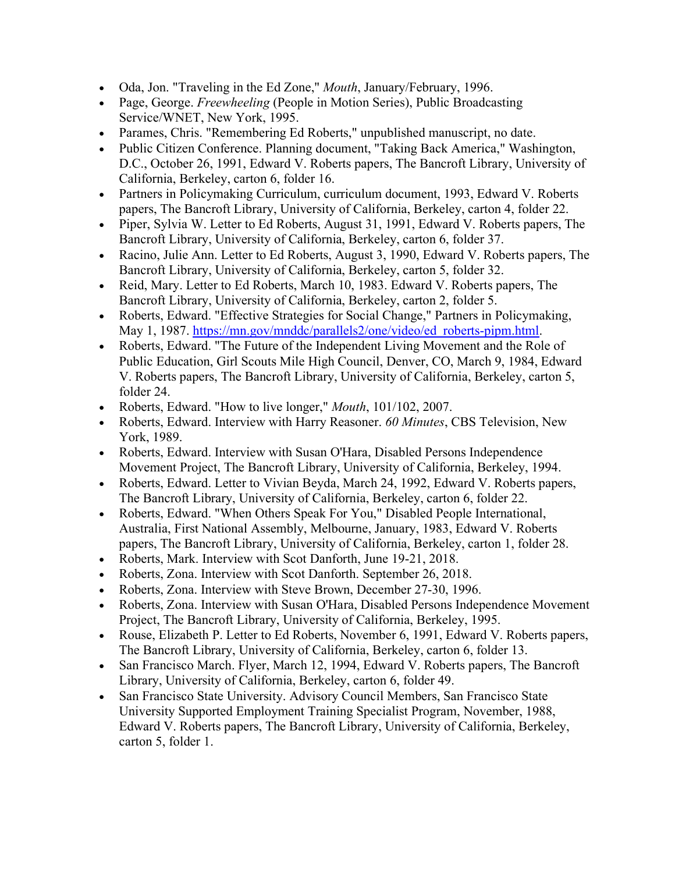- Oda, Jon. "Traveling in the Ed Zone," *Mouth*, January/February, 1996.
- Page, George. *Freewheeling* (People in Motion Series), Public Broadcasting Service/WNET, New York, 1995.
- Parames, Chris. "Remembering Ed Roberts," unpublished manuscript, no date.
- Public Citizen Conference. Planning document, "Taking Back America," Washington, D.C., October 26, 1991, Edward V. Roberts papers, The Bancroft Library, University of California, Berkeley, carton 6, folder 16.
- Partners in Policymaking Curriculum, curriculum document, 1993, Edward V. Roberts papers, The Bancroft Library, University of California, Berkeley, carton 4, folder 22.
- Piper, Sylvia W. Letter to Ed Roberts, August 31, 1991, Edward V. Roberts papers, The Bancroft Library, University of California, Berkeley, carton 6, folder 37.
- Racino, Julie Ann. Letter to Ed Roberts, August 3, 1990, Edward V. Roberts papers, The Bancroft Library, University of California, Berkeley, carton 5, folder 32.
- Reid, Mary. Letter to Ed Roberts, March 10, 1983. Edward V. Roberts papers, The Bancroft Library, University of California, Berkeley, carton 2, folder 5.
- Roberts, Edward. "Effective Strategies for Social Change," Partners in Policymaking, May 1, 1987. [https://mn.gov/mnddc/parallels2/one/video/ed\\_roberts-pipm.html.](https://mn.gov/mnddc/parallels2/one/video/ed_roberts-pipm.html)
- Roberts, Edward. "The Future of the Independent Living Movement and the Role of Public Education, Girl Scouts Mile High Council, Denver, CO, March 9, 1984, Edward V. Roberts papers, The Bancroft Library, University of California, Berkeley, carton 5, folder 24.
- Roberts, Edward. "How to live longer," *Mouth*, 101/102, 2007.
- Roberts, Edward. Interview with Harry Reasoner. *60 Minutes*, CBS Television, New York, 1989.
- Roberts, Edward. Interview with Susan O'Hara, Disabled Persons Independence Movement Project, The Bancroft Library, University of California, Berkeley, 1994.
- Roberts, Edward. Letter to Vivian Beyda, March 24, 1992, Edward V. Roberts papers, The Bancroft Library, University of California, Berkeley, carton 6, folder 22.
- Roberts, Edward. "When Others Speak For You," Disabled People International, Australia, First National Assembly, Melbourne, January, 1983, Edward V. Roberts papers, The Bancroft Library, University of California, Berkeley, carton 1, folder 28.
- Roberts, Mark. Interview with Scot Danforth, June 19-21, 2018.
- Roberts, Zona. Interview with Scot Danforth. September 26, 2018.
- Roberts, Zona. Interview with Steve Brown, December 27-30, 1996.
- Roberts, Zona. Interview with Susan O'Hara, Disabled Persons Independence Movement Project, The Bancroft Library, University of California, Berkeley, 1995.
- Rouse, Elizabeth P. Letter to Ed Roberts, November 6, 1991, Edward V. Roberts papers, The Bancroft Library, University of California, Berkeley, carton 6, folder 13.
- San Francisco March. Flyer, March 12, 1994, Edward V. Roberts papers, The Bancroft Library, University of California, Berkeley, carton 6, folder 49.
- San Francisco State University. Advisory Council Members, San Francisco State University Supported Employment Training Specialist Program, November, 1988, Edward V. Roberts papers, The Bancroft Library, University of California, Berkeley, carton 5, folder 1.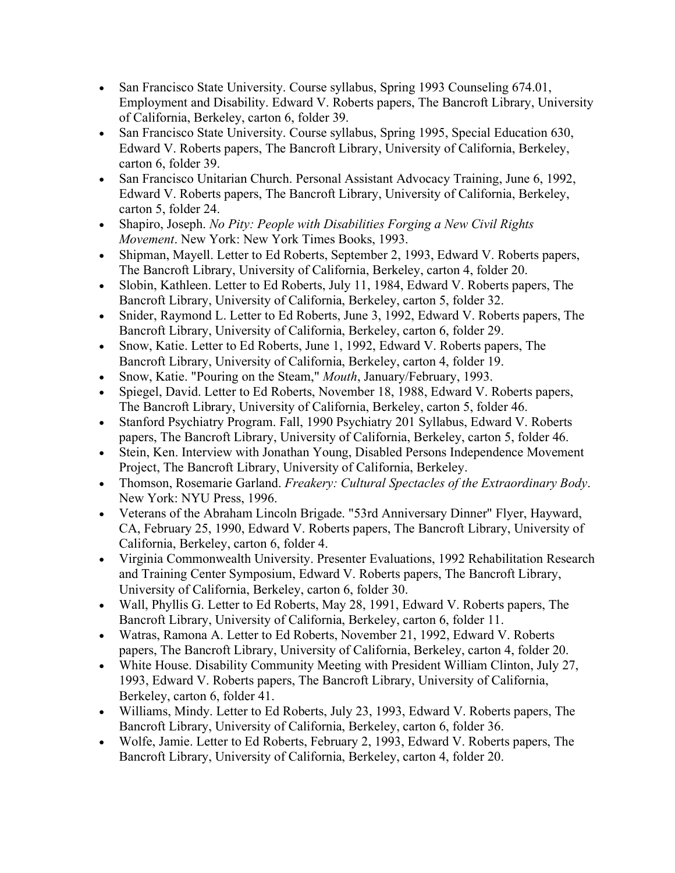- San Francisco State University. Course syllabus, Spring 1993 Counseling 674.01, Employment and Disability. Edward V. Roberts papers, The Bancroft Library, University of California, Berkeley, carton 6, folder 39.
- San Francisco State University. Course syllabus, Spring 1995, Special Education 630, Edward V. Roberts papers, The Bancroft Library, University of California, Berkeley, carton 6, folder 39.
- San Francisco Unitarian Church. Personal Assistant Advocacy Training, June 6, 1992, Edward V. Roberts papers, The Bancroft Library, University of California, Berkeley, carton 5, folder 24.
- Shapiro, Joseph. *No Pity: People with Disabilities Forging a New Civil Rights Movement*. New York: New York Times Books, 1993.
- Shipman, Mayell. Letter to Ed Roberts, September 2, 1993, Edward V. Roberts papers, The Bancroft Library, University of California, Berkeley, carton 4, folder 20.
- Slobin, Kathleen. Letter to Ed Roberts, July 11, 1984, Edward V. Roberts papers, The Bancroft Library, University of California, Berkeley, carton 5, folder 32.
- Snider, Raymond L. Letter to Ed Roberts, June 3, 1992, Edward V. Roberts papers, The Bancroft Library, University of California, Berkeley, carton 6, folder 29.
- Snow, Katie. Letter to Ed Roberts, June 1, 1992, Edward V. Roberts papers, The Bancroft Library, University of California, Berkeley, carton 4, folder 19.
- Snow, Katie. "Pouring on the Steam," *Mouth*, January/February, 1993.
- Spiegel, David. Letter to Ed Roberts, November 18, 1988, Edward V. Roberts papers, The Bancroft Library, University of California, Berkeley, carton 5, folder 46.
- Stanford Psychiatry Program. Fall, 1990 Psychiatry 201 Syllabus, Edward V. Roberts papers, The Bancroft Library, University of California, Berkeley, carton 5, folder 46.
- Stein, Ken. Interview with Jonathan Young, Disabled Persons Independence Movement Project, The Bancroft Library, University of California, Berkeley.
- Thomson, Rosemarie Garland. *Freakery: Cultural Spectacles of the Extraordinary Body*. New York: NYU Press, 1996.
- Veterans of the Abraham Lincoln Brigade. "53rd Anniversary Dinner" Flyer, Hayward, CA, February 25, 1990, Edward V. Roberts papers, The Bancroft Library, University of California, Berkeley, carton 6, folder 4.
- Virginia Commonwealth University. Presenter Evaluations, 1992 Rehabilitation Research and Training Center Symposium, Edward V. Roberts papers, The Bancroft Library, University of California, Berkeley, carton 6, folder 30.
- Wall, Phyllis G. Letter to Ed Roberts, May 28, 1991, Edward V. Roberts papers, The Bancroft Library, University of California, Berkeley, carton 6, folder 11.
- Watras, Ramona A. Letter to Ed Roberts, November 21, 1992, Edward V. Roberts papers, The Bancroft Library, University of California, Berkeley, carton 4, folder 20.
- White House. Disability Community Meeting with President William Clinton, July 27, 1993, Edward V. Roberts papers, The Bancroft Library, University of California, Berkeley, carton 6, folder 41.
- Williams, Mindy. Letter to Ed Roberts, July 23, 1993, Edward V. Roberts papers, The Bancroft Library, University of California, Berkeley, carton 6, folder 36.
- Wolfe, Jamie. Letter to Ed Roberts, February 2, 1993, Edward V. Roberts papers, The Bancroft Library, University of California, Berkeley, carton 4, folder 20.